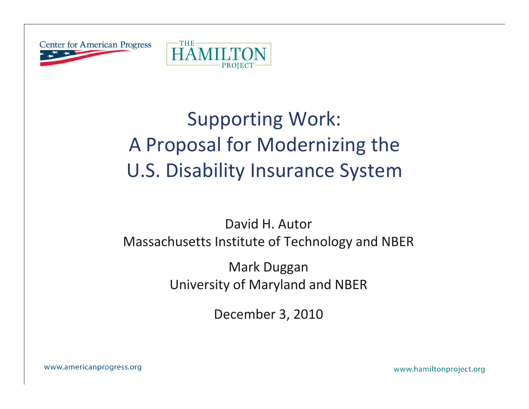



# Supporting Work: A Proposal for Modernizing the U.S. Disability Insurance System

### David H. Autor Massachusetts Institute of Technology and NBER

Mark Duggan University of Maryland and NBER

December 3, 2010

www.americanprogress.org

www.hamiltonproject.org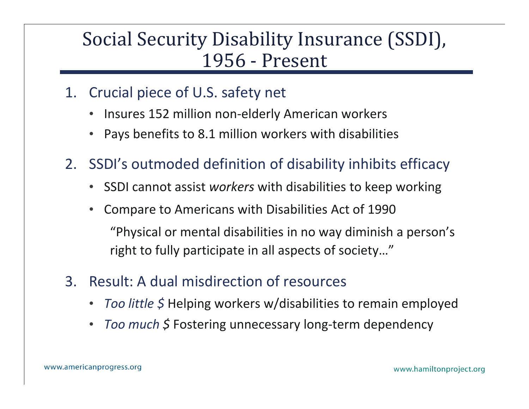# Social Security Disability Insurance (SSDI), 1956 ‐ Present

- 1. Crucial piece of U.S. safety net
	- $\bullet$ • Insures 152 million non-elderly American workers
	- •Pays benefits to 8.1 million workers with disabilities
- 2. SSDI's outmoded definition of disability inhibits efficacy
	- SSDI cannot assist *workers* with disabilities to keep working
	- • Compare to Americans with Disabilities Act of 1990 "Physical or mental disabilities in no way diminish a person's right to fully participate in all aspects of society…"
- 3. Result:A dual misdirection of resources
	- •**•** Too little \$ Helping workers w/disabilities to remain employed
	- •• Too much \$ Fostering unnecessary long-term dependency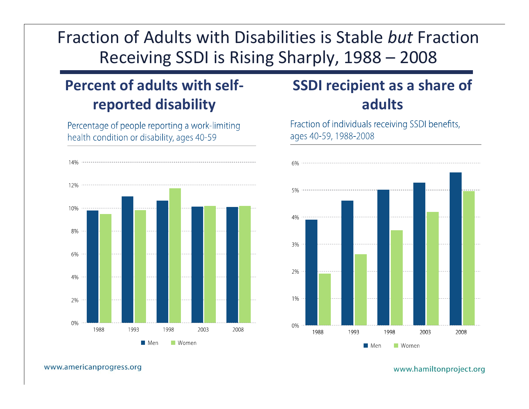## Fraction of Adults with Disabilities is Stable *but* Fraction Receiving SSDI is Rising Sharply, 1988 – 2008

### **Percent of adults with self‐ reported disability**

Percentage of people reporting a work-limiting health condition or disability, ages 40-59



## **SSDI recipient as <sup>a</sup> share of adults**

Fraction of individuals receiving SSDI benefits, ages 40-59, 1988-2008



#### www.americanprogress.org

www.hamiltonproject.org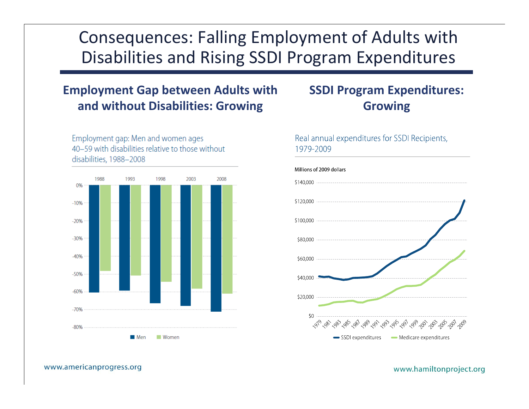## Consequences: Falling Employment of Adults with Disabilities and Rising SSDI Program Expenditures

### **Employment Gap between Adults with and without Disabilities: Growing**



Employment gap: Men and women ages 40-59 with disabilities relative to those without disabilities, 1988-2008

### **SSDI Program Expenditures: Growing**

### Real annual expenditures for SSDI Recipients, 1979-2009



www.americanprogress.org

www.hamiltonproject.org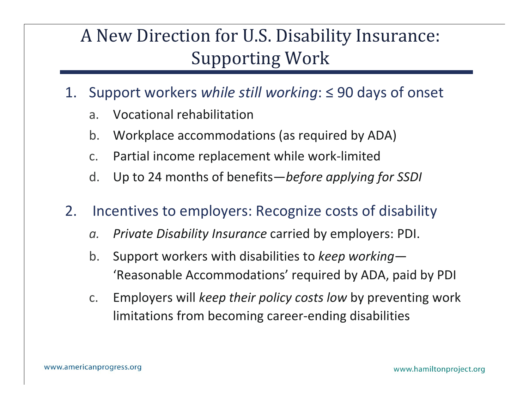# A New Direction for U.S. Disability Insurance: Supporting Work

- 1. Support workers *while still working*: ≤ 90 days of onset
	- a.Vocational rehabilitation
	- b.Workplace accommodations (as required by ADA)
	- c.Partial income replacement while work ‐limited
	- d.Up to 24 months of benefits —*before applying for SSDI*
- 2. Incentives to employers: Recognize costs of disability
	- *a.*. Private Disability Insurance carried by employers: PDI.
	- b. Support workers with disabilities to *keep working* — 'Reasonable Accommodations' re quired b y ADA, paid b y PDI
	- c. Employers will *keep their policy costs low* by preventing work limitations from becoming career ‐ending disabilities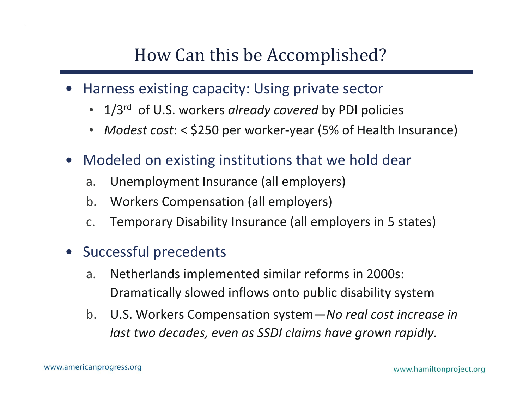# How Can this be Accomplished?

- • Harness existing capacity: Using private sector
	- 1/3rd of U.S. workers *already covered* by PDI policies
	- Modest cost: < \$250 per worker-year (5% of Health Insurance)
- $\bullet$  Modeled on existing institutions that we hold dear
	- a.. Unemployment Insurance (all employers)
	- b.Workers Compensation (all employers)
	- c.Temporary Disability Insurance (all employers in 5 states)
- $\bullet$  Successful precedents
	- a. Netherlands implemented similar reforms in 2000s: Dramatically slowed inflows onto public disability system
	- b. U.S. Workers Compensation system—*No real cost increase in last two decades decades, even as SSDI claims have grown rapidly rapidly.*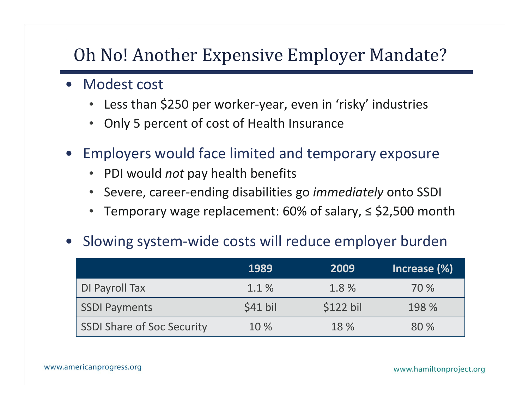# Oh No! Another Expensive Employer Mandate?

- Modest cost
	- •• Less than \$250 per worker-year, even in 'risky' industries
	- •• Only 5 percent of cost of Health Insurance
- $\bullet$  Employers would face limited and temporary exposure
	- PDI would *not* pay health benefits
	- Severe, career-ending disabilities go *immediately* onto SSDI
	- •Temporary wage replacement: 60% of salary, ≤ \$2,500 month

#### •Slowing system ‐wide costs will reduce employer burden

|                            | 1989     | 2009      | Increase $(\%)$ |
|----------------------------|----------|-----------|-----------------|
| DI Payroll Tax             | 1.1%     | 1.8%      | 70 %            |
| SSDI Payments              | \$41 bil | \$122 bil | 198 %           |
| SSDI Share of Soc Security | 10 %     | 18 %      | 80 %            |